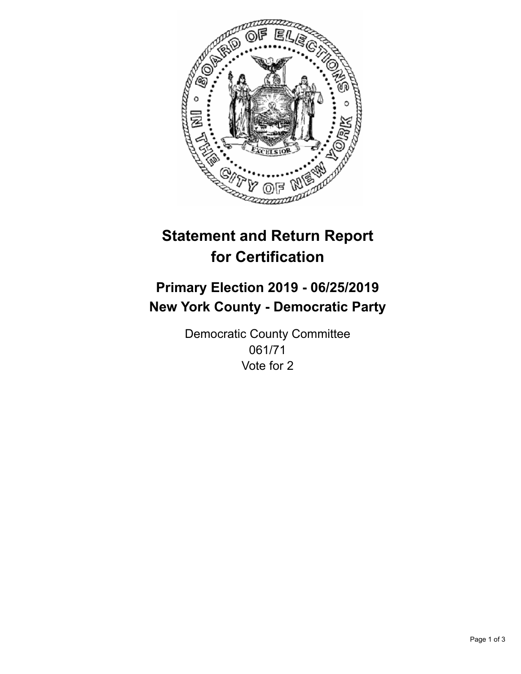

## **Statement and Return Report for Certification**

## **Primary Election 2019 - 06/25/2019 New York County - Democratic Party**

Democratic County Committee 061/71 Vote for 2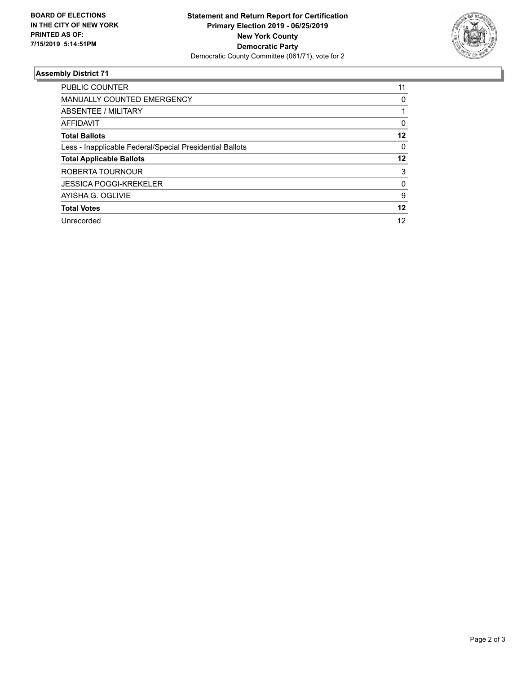

## **Assembly District 71**

| PUBLIC COUNTER                                           | 11 |
|----------------------------------------------------------|----|
| MANUALLY COUNTED EMERGENCY                               | 0  |
| ABSENTEE / MILITARY                                      |    |
| AFFIDAVIT                                                | 0  |
| <b>Total Ballots</b>                                     | 12 |
| Less - Inapplicable Federal/Special Presidential Ballots | 0  |
| <b>Total Applicable Ballots</b>                          | 12 |
| ROBERTA TOURNOUR                                         | 3  |
| <b>JESSICA POGGI-KREKELER</b>                            | 0  |
| AYISHA G. OGLIVIE                                        | 9  |
| <b>Total Votes</b>                                       | 12 |
| Unrecorded                                               | 12 |